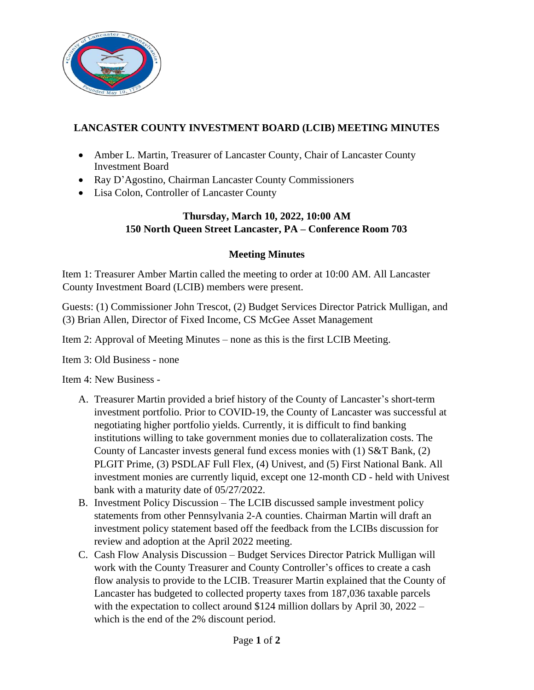

## **LANCASTER COUNTY INVESTMENT BOARD (LCIB) MEETING MINUTES**

- Amber L. Martin, Treasurer of Lancaster County, Chair of Lancaster County Investment Board
- Ray D'Agostino, Chairman Lancaster County Commissioners
- Lisa Colon, Controller of Lancaster County

## **Thursday, March 10, 2022, 10:00 AM 150 North Queen Street Lancaster, PA – Conference Room 703**

## **Meeting Minutes**

Item 1: Treasurer Amber Martin called the meeting to order at 10:00 AM. All Lancaster County Investment Board (LCIB) members were present.

Guests: (1) Commissioner John Trescot, (2) Budget Services Director Patrick Mulligan, and (3) Brian Allen, Director of Fixed Income, CS McGee Asset Management

Item 2: Approval of Meeting Minutes – none as this is the first LCIB Meeting.

Item 3: Old Business - none

Item 4: New Business -

- A. Treasurer Martin provided a brief history of the County of Lancaster's short-term investment portfolio. Prior to COVID-19, the County of Lancaster was successful at negotiating higher portfolio yields. Currently, it is difficult to find banking institutions willing to take government monies due to collateralization costs. The County of Lancaster invests general fund excess monies with (1) S&T Bank, (2) PLGIT Prime, (3) PSDLAF Full Flex, (4) Univest, and (5) First National Bank. All investment monies are currently liquid, except one 12-month CD - held with Univest bank with a maturity date of 05/27/2022.
- B. Investment Policy Discussion The LCIB discussed sample investment policy statements from other Pennsylvania 2-A counties. Chairman Martin will draft an investment policy statement based off the feedback from the LCIBs discussion for review and adoption at the April 2022 meeting.
- C. Cash Flow Analysis Discussion Budget Services Director Patrick Mulligan will work with the County Treasurer and County Controller's offices to create a cash flow analysis to provide to the LCIB. Treasurer Martin explained that the County of Lancaster has budgeted to collected property taxes from 187,036 taxable parcels with the expectation to collect around \$124 million dollars by April 30, 2022 – which is the end of the 2% discount period.